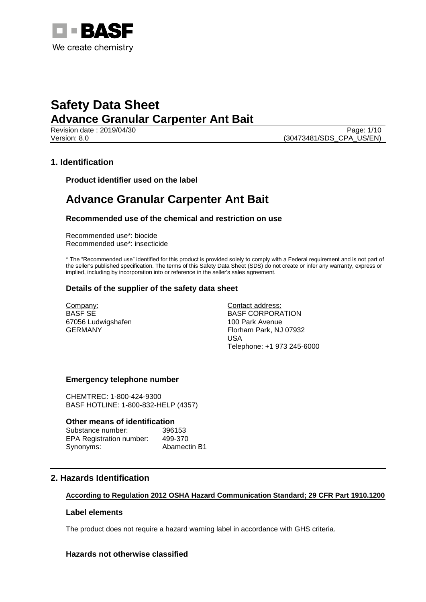

Page: 1/10 Version: 8.0 (30473481/SDS\_CPA\_US/EN)

## **1. Identification**

**Product identifier used on the label**

## **Advance Granular Carpenter Ant Bait**

### **Recommended use of the chemical and restriction on use**

Recommended use\*: biocide Recommended use\*: insecticide

\* The "Recommended use" identified for this product is provided solely to comply with a Federal requirement and is not part of the seller's published specification. The terms of this Safety Data Sheet (SDS) do not create or infer any warranty, express or implied, including by incorporation into or reference in the seller's sales agreement.

### **Details of the supplier of the safety data sheet**

Company: BASF SE 67056 Ludwigshafen GERMANY

Contact address: BASF CORPORATION 100 Park Avenue Florham Park, NJ 07932 USA Telephone: +1 973 245-6000

### **Emergency telephone number**

CHEMTREC: 1-800-424-9300 BASF HOTLINE: 1-800-832-HELP (4357)

### **Other means of identification**

| Substance number:               | 396153       |
|---------------------------------|--------------|
| <b>EPA Registration number:</b> | 499-370      |
| Synonyms:                       | Abamectin B1 |

## **2. Hazards Identification**

### **According to Regulation 2012 OSHA Hazard Communication Standard; 29 CFR Part 1910.1200**

### **Label elements**

The product does not require a hazard warning label in accordance with GHS criteria.

### **Hazards not otherwise classified**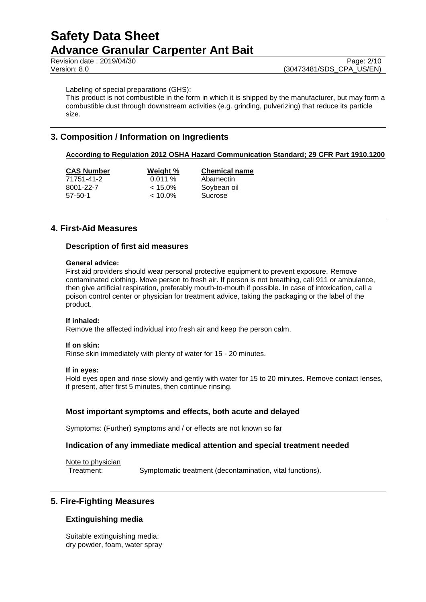Labeling of special preparations (GHS):

This product is not combustible in the form in which it is shipped by the manufacturer, but may form a combustible dust through downstream activities (e.g. grinding, pulverizing) that reduce its particle size.

## **3. Composition / Information on Ingredients**

### **According to Regulation 2012 OSHA Hazard Communication Standard; 29 CFR Part 1910.1200**

| <b>CAS Number</b> | Weight %   | <b>Chemical name</b> |
|-------------------|------------|----------------------|
| 71751-41-2        | 0.011%     | Abamectin            |
| 8001-22-7         | $< 15.0\%$ | Soybean oil          |
| $57-50-1$         | $< 10.0\%$ | Sucrose              |

### **4. First-Aid Measures**

### **Description of first aid measures**

### **General advice:**

First aid providers should wear personal protective equipment to prevent exposure. Remove contaminated clothing. Move person to fresh air. If person is not breathing, call 911 or ambulance, then give artificial respiration, preferably mouth-to-mouth if possible. In case of intoxication, call a poison control center or physician for treatment advice, taking the packaging or the label of the product.

### **If inhaled:**

Remove the affected individual into fresh air and keep the person calm.

#### **If on skin:**

Rinse skin immediately with plenty of water for 15 - 20 minutes.

#### **If in eyes:**

Hold eyes open and rinse slowly and gently with water for 15 to 20 minutes. Remove contact lenses, if present, after first 5 minutes, then continue rinsing.

### **Most important symptoms and effects, both acute and delayed**

Symptoms: (Further) symptoms and / or effects are not known so far

### **Indication of any immediate medical attention and special treatment needed**

Note to physician Treatment: Symptomatic treatment (decontamination, vital functions).

### **5. Fire-Fighting Measures**

### **Extinguishing media**

Suitable extinguishing media: dry powder, foam, water spray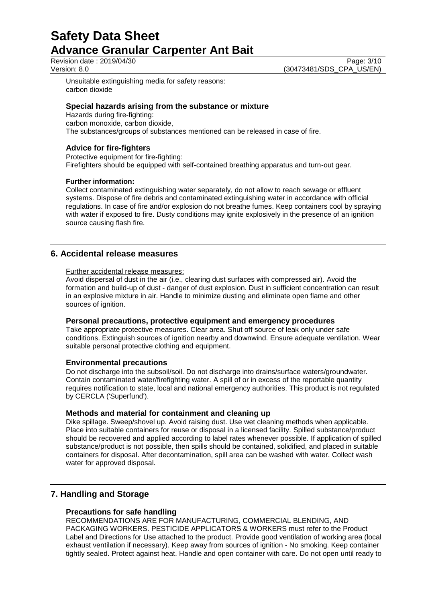Revision date : 2019/04/30 Page: 3/10<br>Version: 8.0 (30473481/SDS CPA US/EN)

(30473481/SDS\_CPA\_US/EN)

Unsuitable extinguishing media for safety reasons: carbon dioxide

### **Special hazards arising from the substance or mixture**

Hazards during fire-fighting: carbon monoxide, carbon dioxide, The substances/groups of substances mentioned can be released in case of fire.

### **Advice for fire-fighters**

Protective equipment for fire-fighting: Firefighters should be equipped with self-contained breathing apparatus and turn-out gear.

### **Further information:**

Collect contaminated extinguishing water separately, do not allow to reach sewage or effluent systems. Dispose of fire debris and contaminated extinguishing water in accordance with official regulations. In case of fire and/or explosion do not breathe fumes. Keep containers cool by spraying with water if exposed to fire. Dusty conditions may ignite explosively in the presence of an ignition source causing flash fire.

### **6. Accidental release measures**

### Further accidental release measures:

Avoid dispersal of dust in the air (i.e., clearing dust surfaces with compressed air). Avoid the formation and build-up of dust - danger of dust explosion. Dust in sufficient concentration can result in an explosive mixture in air. Handle to minimize dusting and eliminate open flame and other sources of ignition.

### **Personal precautions, protective equipment and emergency procedures**

Take appropriate protective measures. Clear area. Shut off source of leak only under safe conditions. Extinguish sources of ignition nearby and downwind. Ensure adequate ventilation. Wear suitable personal protective clothing and equipment.

### **Environmental precautions**

Do not discharge into the subsoil/soil. Do not discharge into drains/surface waters/groundwater. Contain contaminated water/firefighting water. A spill of or in excess of the reportable quantity requires notification to state, local and national emergency authorities. This product is not regulated by CERCLA ('Superfund').

### **Methods and material for containment and cleaning up**

Dike spillage. Sweep/shovel up. Avoid raising dust. Use wet cleaning methods when applicable. Place into suitable containers for reuse or disposal in a licensed facility. Spilled substance/product should be recovered and applied according to label rates whenever possible. If application of spilled substance/product is not possible, then spills should be contained, solidified, and placed in suitable containers for disposal. After decontamination, spill area can be washed with water. Collect wash water for approved disposal.

## **7. Handling and Storage**

### **Precautions for safe handling**

RECOMMENDATIONS ARE FOR MANUFACTURING, COMMERCIAL BLENDING, AND PACKAGING WORKERS. PESTICIDE APPLICATORS & WORKERS must refer to the Product Label and Directions for Use attached to the product. Provide good ventilation of working area (local exhaust ventilation if necessary). Keep away from sources of ignition - No smoking. Keep container tightly sealed. Protect against heat. Handle and open container with care. Do not open until ready to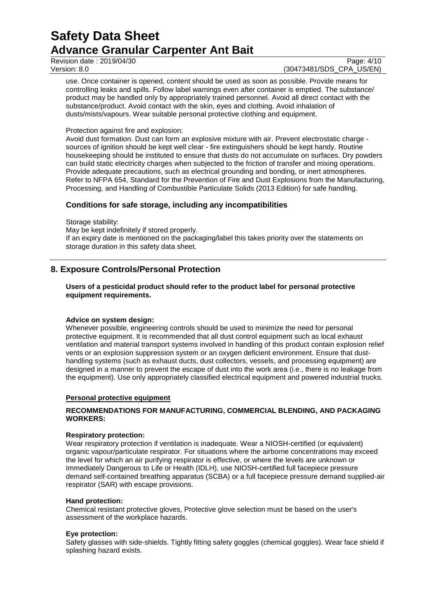Revision date : 2019/04/30<br>
Version: 8.0 (30473481/SDS CPA US/EN)

(30473481/SDS\_CPA\_US/EN)

use. Once container is opened, content should be used as soon as possible. Provide means for controlling leaks and spills. Follow label warnings even after container is emptied. The substance/ product may be handled only by appropriately trained personnel. Avoid all direct contact with the substance/product. Avoid contact with the skin, eyes and clothing. Avoid inhalation of dusts/mists/vapours. Wear suitable personal protective clothing and equipment.

### Protection against fire and explosion:

Avoid dust formation. Dust can form an explosive mixture with air. Prevent electrostatic charge sources of ignition should be kept well clear - fire extinguishers should be kept handy. Routine housekeeping should be instituted to ensure that dusts do not accumulate on surfaces. Dry powders can build static electricity charges when subjected to the friction of transfer and mixing operations. Provide adequate precautions, such as electrical grounding and bonding, or inert atmospheres. Refer to NFPA 654, Standard for the Prevention of Fire and Dust Explosions from the Manufacturing, Processing, and Handling of Combustible Particulate Solids (2013 Edition) for safe handling.

### **Conditions for safe storage, including any incompatibilities**

Storage stability: May be kept indefinitely if stored properly. If an expiry date is mentioned on the packaging/label this takes priority over the statements on storage duration in this safety data sheet.

## **8. Exposure Controls/Personal Protection**

**Users of a pesticidal product should refer to the product label for personal protective equipment requirements.**

### **Advice on system design:**

Whenever possible, engineering controls should be used to minimize the need for personal protective equipment. It is recommended that all dust control equipment such as local exhaust ventilation and material transport systems involved in handling of this product contain explosion relief vents or an explosion suppression system or an oxygen deficient environment. Ensure that dusthandling systems (such as exhaust ducts, dust collectors, vessels, and processing equipment) are designed in a manner to prevent the escape of dust into the work area (i.e., there is no leakage from the equipment). Use only appropriately classified electrical equipment and powered industrial trucks.

### **Personal protective equipment**

### **RECOMMENDATIONS FOR MANUFACTURING, COMMERCIAL BLENDING, AND PACKAGING WORKERS:**

### **Respiratory protection:**

Wear respiratory protection if ventilation is inadequate. Wear a NIOSH-certified (or equivalent) organic vapour/particulate respirator. For situations where the airborne concentrations may exceed the level for which an air purifying respirator is effective, or where the levels are unknown or Immediately Dangerous to Life or Health (IDLH), use NIOSH-certified full facepiece pressure demand self-contained breathing apparatus (SCBA) or a full facepiece pressure demand supplied-air respirator (SAR) with escape provisions.

### **Hand protection:**

Chemical resistant protective gloves, Protective glove selection must be based on the user's assessment of the workplace hazards.

### **Eye protection:**

Safety glasses with side-shields. Tightly fitting safety goggles (chemical goggles). Wear face shield if splashing hazard exists.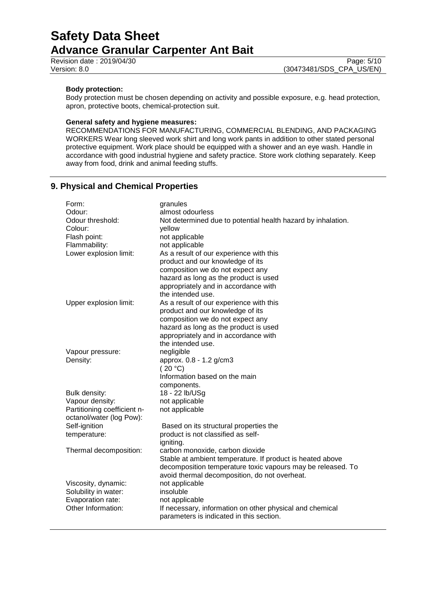Revision date : 2019/04/30<br>
Version: 8.0 (30473481/SDS CPA US/EN)

### **Body protection:**

Body protection must be chosen depending on activity and possible exposure, e.g. head protection, apron, protective boots, chemical-protection suit.

### **General safety and hygiene measures:**

RECOMMENDATIONS FOR MANUFACTURING, COMMERCIAL BLENDING, AND PACKAGING WORKERS Wear long sleeved work shirt and long work pants in addition to other stated personal protective equipment. Work place should be equipped with a shower and an eye wash. Handle in accordance with good industrial hygiene and safety practice. Store work clothing separately. Keep away from food, drink and animal feeding stuffs.

## **9. Physical and Chemical Properties**

| Form:                       | granules                                                     |
|-----------------------------|--------------------------------------------------------------|
| Odour:                      | almost odourless                                             |
| Odour threshold:            | Not determined due to potential health hazard by inhalation. |
| Colour:                     | yellow                                                       |
| Flash point:                | not applicable                                               |
| Flammability:               | not applicable                                               |
| Lower explosion limit:      | As a result of our experience with this                      |
|                             | product and our knowledge of its                             |
|                             | composition we do not expect any                             |
|                             | hazard as long as the product is used                        |
|                             | appropriately and in accordance with                         |
|                             | the intended use.                                            |
| Upper explosion limit:      | As a result of our experience with this                      |
|                             | product and our knowledge of its                             |
|                             | composition we do not expect any                             |
|                             | hazard as long as the product is used                        |
|                             | appropriately and in accordance with                         |
|                             | the intended use.                                            |
| Vapour pressure:            | negligible                                                   |
| Density:                    | approx. 0.8 - 1.2 g/cm3                                      |
|                             | (20 °C)                                                      |
|                             | Information based on the main                                |
|                             | components.                                                  |
| Bulk density:               | 18 - 22 lb/USg                                               |
| Vapour density:             | not applicable                                               |
| Partitioning coefficient n- | not applicable                                               |
| octanol/water (log Pow):    |                                                              |
| Self-ignition               | Based on its structural properties the                       |
| temperature:                | product is not classified as self-                           |
|                             | igniting.                                                    |
| Thermal decomposition:      | carbon monoxide, carbon dioxide                              |
|                             | Stable at ambient temperature. If product is heated above    |
|                             | decomposition temperature toxic vapours may be released. To  |
|                             | avoid thermal decomposition, do not overheat.                |
| Viscosity, dynamic:         | not applicable                                               |
| Solubility in water:        | insoluble                                                    |
| Evaporation rate:           | not applicable                                               |
| Other Information:          | If necessary, information on other physical and chemical     |
|                             | parameters is indicated in this section.                     |
|                             |                                                              |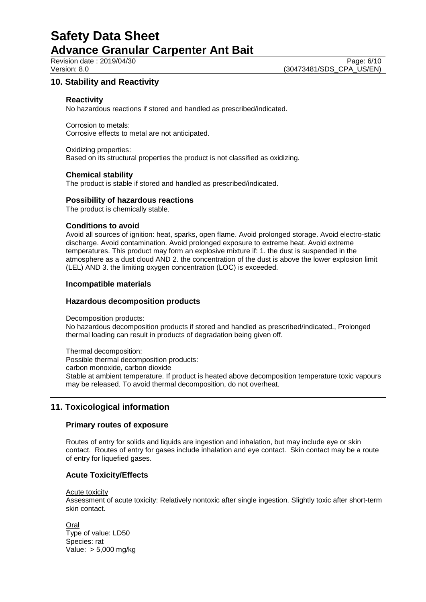## **10. Stability and Reactivity**

### **Reactivity**

No hazardous reactions if stored and handled as prescribed/indicated.

Corrosion to metals: Corrosive effects to metal are not anticipated.

Oxidizing properties: Based on its structural properties the product is not classified as oxidizing.

### **Chemical stability**

The product is stable if stored and handled as prescribed/indicated.

### **Possibility of hazardous reactions**

The product is chemically stable.

### **Conditions to avoid**

Avoid all sources of ignition: heat, sparks, open flame. Avoid prolonged storage. Avoid electro-static discharge. Avoid contamination. Avoid prolonged exposure to extreme heat. Avoid extreme temperatures. This product may form an explosive mixture if: 1. the dust is suspended in the atmosphere as a dust cloud AND 2. the concentration of the dust is above the lower explosion limit (LEL) AND 3. the limiting oxygen concentration (LOC) is exceeded.

### **Incompatible materials**

### **Hazardous decomposition products**

Decomposition products:

No hazardous decomposition products if stored and handled as prescribed/indicated., Prolonged thermal loading can result in products of degradation being given off.

Thermal decomposition: Possible thermal decomposition products: carbon monoxide, carbon dioxide Stable at ambient temperature. If product is heated above decomposition temperature toxic vapours may be released. To avoid thermal decomposition, do not overheat.

## **11. Toxicological information**

### **Primary routes of exposure**

Routes of entry for solids and liquids are ingestion and inhalation, but may include eye or skin contact. Routes of entry for gases include inhalation and eye contact. Skin contact may be a route of entry for liquefied gases.

### **Acute Toxicity/Effects**

Acute toxicity

Assessment of acute toxicity: Relatively nontoxic after single ingestion. Slightly toxic after short-term skin contact.

**Oral** Type of value: LD50 Species: rat Value: > 5,000 mg/kg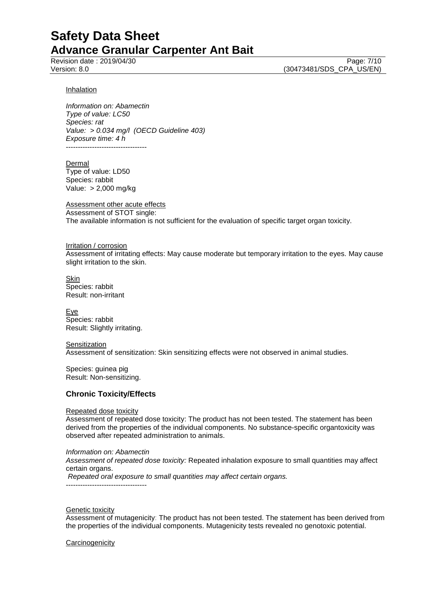Revision date : 2019/04/30<br>
Version: 8.0 (30473481/SDS CPA US/EN) (30473481/SDS\_CPA\_US/EN)

#### **Inhalation**

*Information on: Abamectin Type of value: LC50 Species: rat Value: > 0.034 mg/l (OECD Guideline 403) Exposure time: 4 h* ----------------------------------

Dermal Type of value: LD50 Species: rabbit Value: > 2,000 mg/kg

Assessment other acute effects Assessment of STOT single: The available information is not sufficient for the evaluation of specific target organ toxicity.

Irritation / corrosion Assessment of irritating effects: May cause moderate but temporary irritation to the eyes. May cause slight irritation to the skin.

Skin Species: rabbit Result: non-irritant

**Eye** Species: rabbit Result: Slightly irritating.

**Sensitization** Assessment of sensitization: Skin sensitizing effects were not observed in animal studies.

Species: guinea pig Result: Non-sensitizing.

### **Chronic Toxicity/Effects**

Repeated dose toxicity

Assessment of repeated dose toxicity: The product has not been tested. The statement has been derived from the properties of the individual components. No substance-specific organtoxicity was observed after repeated administration to animals.

*Information on: Abamectin*

*Assessment of repeated dose toxicity:* Repeated inhalation exposure to small quantities may affect certain organs.

*Repeated oral exposure to small quantities may affect certain organs.*

----------------------------------

### Genetic toxicity

Assessment of mutagenicity: The product has not been tested. The statement has been derived from the properties of the individual components. Mutagenicity tests revealed no genotoxic potential.

**Carcinogenicity**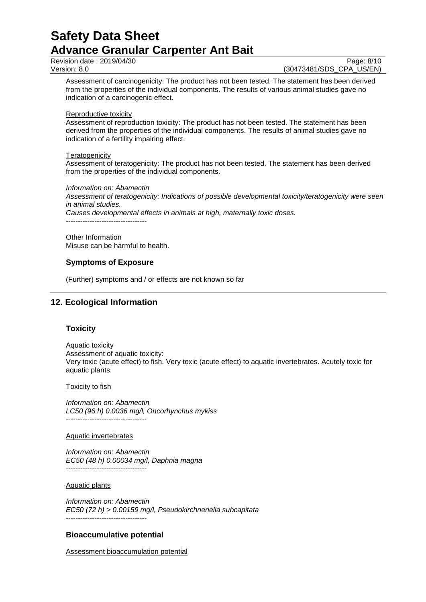Revision date : 2019/04/30<br>
Version: 8.0<br>
Version: 8.0<br>
(30473481/SDS CPA US/EN)

(30473481/SDS CPA US/EN)

Assessment of carcinogenicity: The product has not been tested. The statement has been derived from the properties of the individual components. The results of various animal studies gave no indication of a carcinogenic effect.

### Reproductive toxicity

Assessment of reproduction toxicity: The product has not been tested. The statement has been derived from the properties of the individual components. The results of animal studies gave no indication of a fertility impairing effect.

### **Teratogenicity**

Assessment of teratogenicity: The product has not been tested. The statement has been derived from the properties of the individual components.

### *Information on: Abamectin*

*Assessment of teratogenicity: Indications of possible developmental toxicity/teratogenicity were seen in animal studies.*

*Causes developmental effects in animals at high, maternally toxic doses.*

----------------------------------

**Other Information** Misuse can be harmful to health.

### **Symptoms of Exposure**

(Further) symptoms and / or effects are not known so far

## **12. Ecological Information**

### **Toxicity**

Aquatic toxicity Assessment of aquatic toxicity: Very toxic (acute effect) to fish. Very toxic (acute effect) to aquatic invertebrates. Acutely toxic for aquatic plants.

**Toxicity to fish** 

*Information on: Abamectin LC50 (96 h) 0.0036 mg/l, Oncorhynchus mykiss* ----------------------------------

### Aquatic invertebrates

*Information on: Abamectin EC50 (48 h) 0.00034 mg/l, Daphnia magna* ----------------------------------

### Aquatic plants

*Information on: Abamectin EC50 (72 h) > 0.00159 mg/l, Pseudokirchneriella subcapitata* ----------------------------------

## **Bioaccumulative potential**

Assessment bioaccumulation potential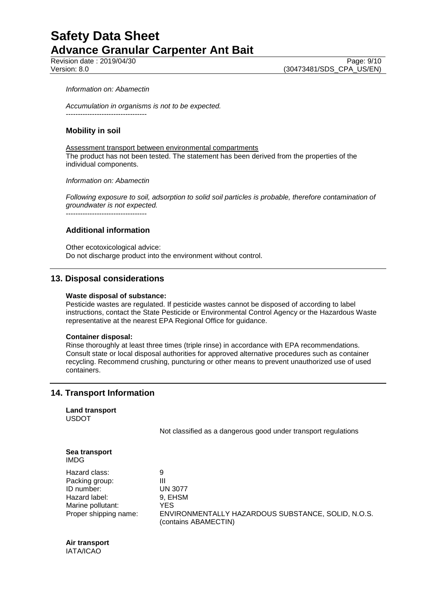Revision date : 2019/04/30 Page: 9/10<br>
Version: 8.0 (30473481/SDS CPA US/EN)

### *Information on: Abamectin*

*Accumulation in organisms is not to be expected.* ----------------------------------

### **Mobility in soil**

Assessment transport between environmental compartments The product has not been tested. The statement has been derived from the properties of the individual components.

*Information on: Abamectin*

*Following exposure to soil, adsorption to solid soil particles is probable, therefore contamination of groundwater is not expected.* ----------------------------------

**Additional information**

Other ecotoxicological advice: Do not discharge product into the environment without control.

## **13. Disposal considerations**

### **Waste disposal of substance:**

Pesticide wastes are regulated. If pesticide wastes cannot be disposed of according to label instructions, contact the State Pesticide or Environmental Control Agency or the Hazardous Waste representative at the nearest EPA Regional Office for guidance.

### **Container disposal:**

Rinse thoroughly at least three times (triple rinse) in accordance with EPA recommendations. Consult state or local disposal authorities for approved alternative procedures such as container recycling. Recommend crushing, puncturing or other means to prevent unauthorized use of used containers.

## **14. Transport Information**

**Land transport** USDOT

Not classified as a dangerous good under transport regulations

| Sea transport<br><b>IMDG</b> |                                                                            |
|------------------------------|----------------------------------------------------------------------------|
| Hazard class:                | 9                                                                          |
| Packing group:               | Ш                                                                          |
| ID number:                   | <b>UN 3077</b>                                                             |
| Hazard label:                | 9, EHSM                                                                    |
| Marine pollutant:            | YES.                                                                       |
| Proper shipping name:        | ENVIRONMENTALLY HAZARDOUS SUBSTANCE, SOLID, N.O.S.<br>(contains ABAMECTIN) |

**Air transport** IATA/ICAO